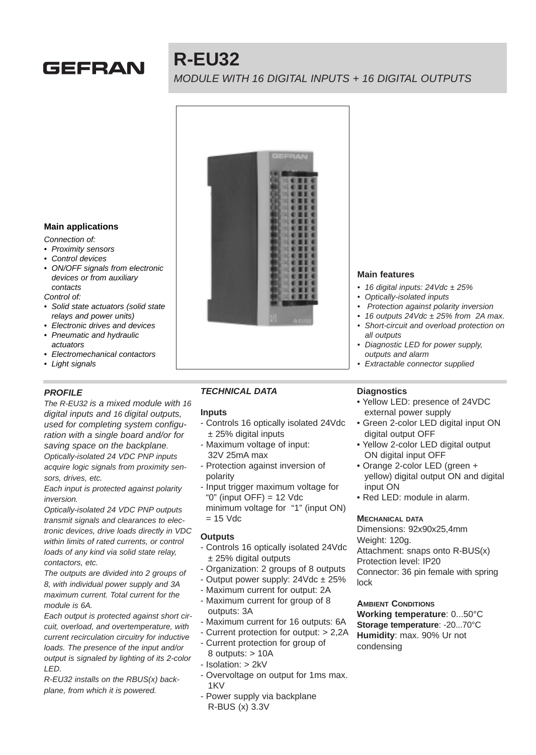

# **R-EU32**

MODULE WITH 16 DIGITAL INPUTS + 16 DIGITAL OUTPUTS



# **Main applications**

Connection of:

- Proximity sensors
- Control devices
- ON/OFF signals from electronic devices or from auxiliary contacts
- Control of:
- Solid state actuators (solid state relays and power units)
- Electronic drives and devices
- Pneumatic and hydraulic actuators
- Electromechanical contactors
- Light signals

## **PROFILE**

The R-EU32 is a mixed module with 16 digital inputs and 16 digital outputs, used for completing system configuration with a single board and/or for saving space on the backplane. Optically-isolated 24 VDC PNP inputs acquire logic signals from proximity sensors, drives, etc.

Each input is protected against polarity inversion.

Optically-isolated 24 VDC PNP outputs transmit signals and clearances to electronic devices, drive loads directly in VDC within limits of rated currents, or control loads of any kind via solid state relay, contactors, etc.

The outputs are divided into 2 groups of 8, with individual power supply and 3A maximum current. Total current for the module is 6A.

Each output is protected against short circuit, overload, and overtemperature, with current recirculation circuitry for inductive loads. The presence of the input and/or output is signaled by lighting of its 2-color LED.

R-EU32 installs on the RBUS(x) backplane, from which it is powered.

# **TECHNICAL DATA**

## **Inputs**

- Controls 16 optically isolated 24Vdc ± 25% digital inputs
- Maximum voltage of input: 32V 25mA max
- Protection against inversion of polarity
- Input trigger maximum voltage for "0" (input  $OFF$ ) = 12 Vdc minimum voltage for "1" (input ON)  $= 15$  Vdc

## **Outputs**

- Controls 16 optically isolated 24Vdc ± 25% digital outputs
- Organization: 2 groups of 8 outputs
- Output power supply:  $24 \text{Vdc} \pm 25\%$
- Maximum current for output: 2A
- Maximum current for group of 8 outputs: 3A
- Maximum current for 16 outputs: 6A
- Current protection for output: > 2,2A
- Current protection for group of
- 8 outputs: > 10A - Isolation: > 2kV
- Overvoltage on output for 1ms max. 1KV
- Power supply via backplane R-BUS (x) 3.3V

#### **Main features**

- 16 digital inputs:  $24$ Vdc  $\pm 25$ %
- Optically-isolated inputs
- Protection against polarity inversion
- 16 outputs  $24$ Vdc  $\pm 25$ % from 2A max.
- Short-circuit and overload protection on all outputs
- Diagnostic LED for power supply, outputs and alarm
- **Extractable connector supplied**

# **Diagnostics**

- Yellow LED: presence of 24VDC external power supply
- Green 2-color LED digital input ON digital output OFF
- Yellow 2-color LED digital output ON digital input OFF
- Orange 2-color LED (green + yellow) digital output ON and digital input ON
- Red LED: module in alarm.

#### **MECHANICAL DATA**

Dimensions: 92x90x25,4mm Weight: 120g. Attachment: snaps onto R-BUS(x) Protection level: IP20 Connector: 36 pin female with spring lock

# **Working temperature**: 0...50°C **Storage temperature**: -20...70°C

**AMBIENT CONDITIONS**

**Humidity**: max. 90% Ur not condensing